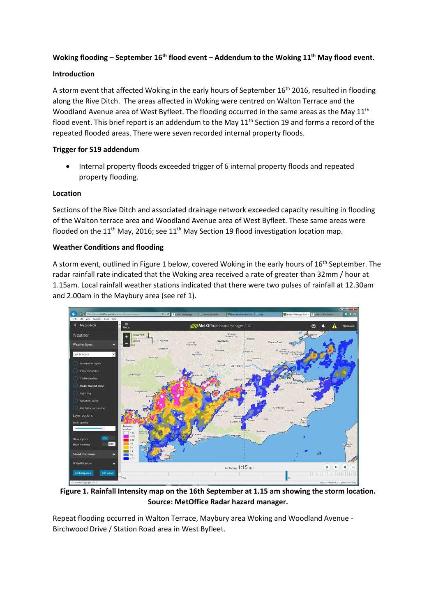# **Woking flooding – September 16th flood event – Addendum to the Woking 11th May flood event.**

## **Introduction**

A storm event that affected Woking in the early hours of September 16<sup>th</sup> 2016, resulted in flooding along the Rive Ditch. The areas affected in Woking were centred on Walton Terrace and the Woodland Avenue area of West Byfleet. The flooding occurred in the same areas as the May 11<sup>th</sup> flood event. This brief report is an addendum to the May  $11<sup>th</sup>$  Section 19 and forms a record of the repeated flooded areas. There were seven recorded internal property floods.

## **Trigger for S19 addendum**

 Internal property floods exceeded trigger of 6 internal property floods and repeated property flooding.

### **Location**

Sections of the Rive Ditch and associated drainage network exceeded capacity resulting in flooding of the Walton terrace area and Woodland Avenue area of West Byfleet. These same areas were flooded on the 11<sup>th</sup> May, 2016; see 11<sup>th</sup> May Section 19 flood investigation location map.

### **Weather Conditions and flooding**

A storm event, outlined in Figure 1 below, covered Woking in the early hours of 16<sup>th</sup> September. The radar rainfall rate indicated that the Woking area received a rate of greater than 32mm / hour at 1.15am. Local rainfall weather stations indicated that there were two pulses of rainfall at 12.30am and 2.00am in the Maybury area (see ref 1).



**Figure 1. Rainfall Intensity map on the 16th September at 1.15 am showing the storm location. Source: MetOffice Radar hazard manager.**

Repeat flooding occurred in Walton Terrace, Maybury area Woking and Woodland Avenue - Birchwood Drive / Station Road area in West Byfleet.